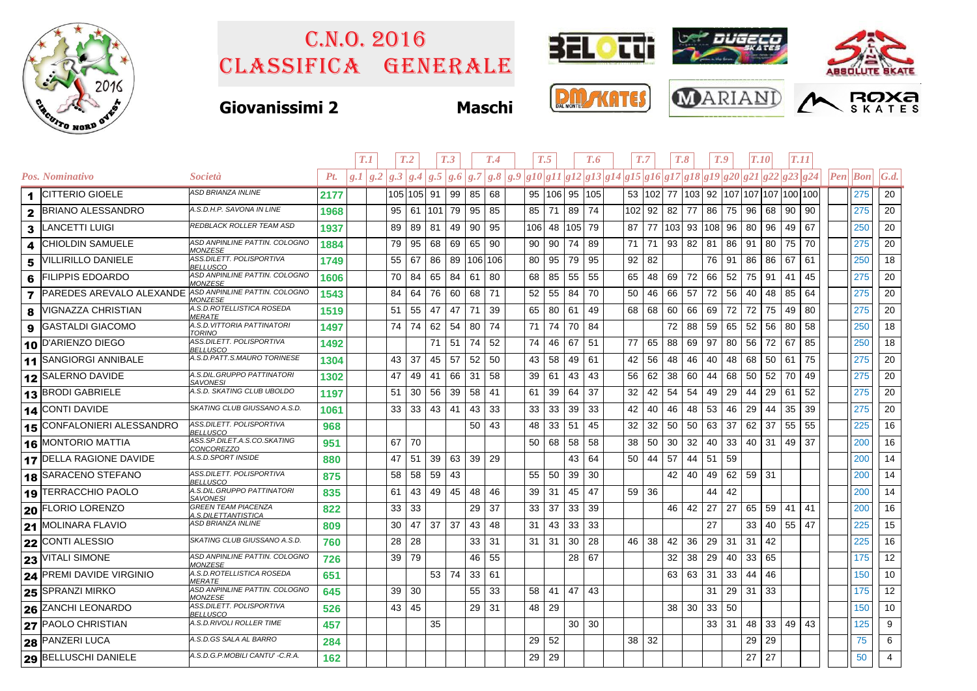

## Classifica generale C.n.o. 2016



## **Giovanissimi 2 Maschi**







|              |                                   |                                                          |      | T.1 | T <sub>.2</sub> |    |              | T <sub>.3</sub> |                 | T.4 |  | T.5 |    | T.6    |                                                                                                   |    | T.7           |    | T.8   |                 | T.10<br>T.9 |       | T.11 |    |                                    |  |                                         |                 |
|--------------|-----------------------------------|----------------------------------------------------------|------|-----|-----------------|----|--------------|-----------------|-----------------|-----|--|-----|----|--------|---------------------------------------------------------------------------------------------------|----|---------------|----|-------|-----------------|-------------|-------|------|----|------------------------------------|--|-----------------------------------------|-----------------|
|              | Pos. Nominativo                   | <i>Società</i>                                           | Pt.  |     |                 |    |              |                 |                 |     |  |     |    |        | $g.1 g.2 g.3 g.4 g.5 g.6 g.7 g.8 g.9 g10 g11 g12 g13 g14 g15 g16 g17 g18 g19 g20 g21 g22 g23 g24$ |    |               |    |       |                 |             |       |      |    |                                    |  | $\left  Pen\right $ $\left  Bon\right $ | G.d.            |
|              | 1 CITTERIO GIOELE                 | <b>ASD BRIANZA INLINE</b>                                | 2177 |     | 105 105 91      |    |              | 99              | 85              | 68  |  |     |    |        | 95 106 95 105                                                                                     |    | 53   102   77 |    |       |                 |             |       |      |    | 103  92  107  107  107   100   100 |  | 275                                     | 20              |
| $\mathbf{2}$ | <b>BRIANO ALESSANDRO</b>          | A.S.D.H.P. SAVONA IN LINE                                | 1968 |     | 95              | 61 | 101          | 79              | 95              | 85  |  | 85  | 71 |        | 89 74                                                                                             |    | 102 92 82     |    | 77    | 86              | 75          | 96    | 68   | 90 | 90                                 |  | 275                                     | 20              |
|              | 3  LANCETTI LUIGI                 | <b>REDBLACK ROLLER TEAM ASD</b>                          | 1937 |     | 89              | 89 | 81           | 49              | 90              | 95  |  | 106 | 48 | 105 79 |                                                                                                   | 87 | 77            |    |       | 103 93 108 96   |             | 80    | 96   | 49 | 67                                 |  | 250                                     | 20              |
| 4            | <b>CHIOLDIN SAMUELE</b>           | ASD ANPINLINE PATTIN. COLOGNO<br><b>MONZESE</b>          | 1884 |     | 79              | 95 | 68           | 69              | 65              | 90  |  | 90  | 90 | 74     | 89                                                                                                | 71 | 71            | 93 | 82    | 81              | 86          | 91    | 80   | 75 | 70                                 |  | 275                                     | 20              |
| 5            | <b>VILLIRILLO DANIELE</b>         | ASS.DILETT. POLISPORTIVA<br>BELLUSCO                     | 1749 |     | 55              | 67 | 86           | 89              | 106 106         |     |  | 80  | 95 | 79     | 95                                                                                                | 92 | 82            |    |       | 76              | 91          | 86    | 86   | 67 | 61                                 |  | 250                                     | 18              |
| 6            | <b>FILIPPIS EDOARDO</b>           | ASD ANPINLINE PATTIN. COLOGNO<br><b>MONZESE</b>          | 1606 |     | 70              | 84 | 65           | 84              | 61              | 80  |  | 68  | 85 | 55     | 55                                                                                                | 65 | 48            | 69 | 72    | 66              | 52          | 75    | 91   | 41 | 45                                 |  | 275                                     | 20              |
|              | <b>7</b> PAREDES AREVALO ALEXANDE | ASD ANPINLINE PATTIN. COLOGNO<br><b>MONZESE</b>          | 1543 |     | 84              | 64 | 76           | 60              | 68              | 71  |  | 52  | 55 | 84     | 70                                                                                                | 50 | 46            | 66 | 57    | 72              | 56          | 40    | 48   | 85 | 64                                 |  | 275                                     | 20              |
| 8            | <b>VIGNAZZA CHRISTIAN</b>         | A.S.D.ROTELLISTICA ROSEDA<br><b>MERATE</b>               | 1519 |     | 51              | 55 | 47           | 47              | 71              | 39  |  | 65  | 80 | 61     | 49                                                                                                | 68 | 68            | 60 | 66    | 69              | 72          | 72    | 75   | 49 | 80                                 |  | 275                                     | 20              |
| 9            | <b>GASTALDI GIACOMO</b>           | A.S.D. VITTORIA PATTINATORI<br>TORINO                    | 1497 |     | 74              | 74 | 62           | 54              | 80              | 74  |  | 71  | 74 | 70     | 84                                                                                                |    |               | 72 | 88    | 59              | 65          | 52    | 56   | 80 | 58                                 |  | 250                                     | 18              |
|              | 10 D'ARIENZO DIEGO                | ASS.DILETT. POLISPORTIVA<br><b>BELLUSCO</b>              | 1492 |     |                 |    | 71           | -51             | 74              | 52  |  | 74  | 46 | 67     | 51                                                                                                | 77 | 65            | 88 | 69    | 97              | 80          | 56    | 72   | 67 | 85                                 |  | 250                                     | 18              |
|              | 11 SANGIORGI ANNIBALE             | A.S.D.PATT.S.MAURO TORINESE                              | 1304 |     | 43              | 37 | 45           | 57              | 52              | 50  |  | 43  | 58 | 49     | 61                                                                                                | 42 | 56            | 48 | 46    | 40              | 48          | 68    | 50   | 61 | 75                                 |  | 275                                     | 20              |
|              | 12 SALERNO DAVIDE                 | A.S.DIL.GRUPPO PATTINATORI<br>SAVONESI                   | 1302 |     | 47              | 49 | 41           | 66              | 31              | 58  |  | 39  | 61 | 43     | 43                                                                                                | 56 | 62            | 38 | 60    | 44              | 68          | 50    | 52   | 70 | 49                                 |  | 275                                     | 20              |
|              | 13 BRODI GABRIELE                 | A.S.D. SKATING CLUB UBOLDO                               | 1197 |     | 51              | 30 | 56           | 39              | 58              | 41  |  | 61  | 39 | 64     | 37                                                                                                | 32 | 42            | 54 | 54    | 49              | 29          | 44    | 29   | 61 | 52                                 |  | 275                                     | 20              |
|              | 14 CONTI DAVIDE                   | SKATING CLUB GIUSSANO A.S.D.                             | 1061 |     | 33              | 33 | $43 \mid 41$ |                 | 43              | 33  |  | 33  | 33 | 39     | 33                                                                                                | 42 | 40            | 46 | 48    | 53              | 46          | 29    | 44   | 35 | 39                                 |  | 275                                     | 20              |
|              | <b>15 CONFALONIERI ALESSANDRO</b> | ASS.DILETT. POLISPORTIVA<br><b>BELLUSCO</b>              | 968  |     |                 |    |              |                 | 50              | 43  |  | 48  | 33 | 51     | 45                                                                                                | 32 | 32            | 50 | 50    | 63              | 37          | 62    | 37   | 55 | 55                                 |  | 225                                     | 16              |
|              | 16 MONTORIO MATTIA                | ASS.SP.DILET.A.S.CO.SKATING<br>CONCOREZZO                | 951  |     | 67              | 70 |              |                 |                 |     |  | 50  | 68 | 58     | 58                                                                                                | 38 | 50            | 30 | 32    | 40              | 33          | 40    | 31   | 49 | 37                                 |  | 200                                     | 16              |
|              | 17 DELLA RAGIONE DAVIDE           | A.S.D.SPORT INSIDE                                       | 880  |     | 47              | 51 | 39           | 63              | 39 <sup>1</sup> | 29  |  |     |    | 43     | 64                                                                                                | 50 | 44            | 57 | 44    | 51              | 59          |       |      |    |                                    |  | 200                                     | 14              |
|              | 18 SARACENO STEFANO               | ASS.DILETT. POLISPORTIVA<br><b>BELLUSCO</b>              | 875  |     | 58              | 58 | 59 43        |                 |                 |     |  | 55  | 50 | 39     | 30                                                                                                |    |               | 42 | 40    | -49             | 62          | 59 31 |      |    |                                    |  | 200                                     | 14              |
|              | 19 TERRACCHIO PAOLO               | A.S.DIL.GRUPPO PATTINATORI<br><i>SAVONESI</i>            | 835  |     | 61              | 43 | 49 45        |                 | 48              | 46  |  | 39  | 31 | 45     | 47                                                                                                | 59 | 36            |    |       | 44              | 42          |       |      |    |                                    |  | 200                                     | 14              |
|              | 20 FLORIO LORENZO                 | <b>GREEN TEAM PIACENZA</b><br><u>A.S.DILETTANTISTICA</u> | 822  |     | 33              | 33 |              |                 | 29              | 37  |  | 33  | 37 | 33     | 39                                                                                                |    |               | 46 | 42    | 27              | 27          | 65    | 59   | 41 | -41                                |  | 200                                     | 16              |
|              | 21 MOLINARA FLAVIO                | ASD BRIANZA INLINE                                       | 809  |     | 30              | 47 | 37           | 37              | 43              | 48  |  | 31  | 43 | 33     | 33                                                                                                |    |               |    |       | 27              |             | 33    | 40   | 55 | 47                                 |  | 225                                     | 15              |
|              | 22 CONTI ALESSIO                  | SKATING CLUB GIUSSANO A.S.D.                             | 760  |     | 28              | 28 |              |                 | 33              | -31 |  | 31  | 31 | 30     | 28                                                                                                | 46 | 38            | 42 | 36    | 29              | 31          | 31    | 42   |    |                                    |  | 225                                     | 16              |
|              | 23 VITALI SIMONE                  | ASD ANPINLINE PATTIN. COLOGNO<br><b>MONZESE</b>          | 726  |     | 39              | 79 |              |                 | 46              | 55  |  |     |    |        | 28 67                                                                                             |    |               | 32 | 38    | 29              | 40          | 33    | 65   |    |                                    |  | 175                                     | 12              |
|              | 24 PREMI DAVIDE VIRGINIO          | A.S.D.ROTELLISTICA ROSEDA<br><b>MERATE</b>               | 651  |     |                 |    | 53 74        |                 | 33   61         |     |  |     |    |        |                                                                                                   |    |               | 63 | 63 31 |                 | 33          | 44    | 46   |    |                                    |  | 150                                     | 10 <sup>°</sup> |
|              | 25 SPRANZI MIRKO                  | ASD ANPINLINE PATTIN. COLOGNO<br>MONZESE                 | 645  |     | 39              | 30 |              |                 | 55              | 33  |  | 58  | 41 | 47     | 43                                                                                                |    |               |    |       | 31              | 29          | 31    | 33   |    |                                    |  | 175                                     | 12              |
|              | 26 ZANCHI LEONARDO                | ASS.DILETT. POLISPORTIVA<br><b>BELLUSCO</b>              | 526  |     | 43              | 45 |              |                 | 29              | -31 |  | 48  | 29 |        |                                                                                                   |    |               | 38 | 30    | 33              | 50          |       |      |    |                                    |  | 150                                     | 10              |
|              | 27 PAOLO CHRISTIAN                | A.S.D.RIVOLI ROLLER TIME                                 | 457  |     |                 |    | 35           |                 |                 |     |  |     |    |        | $30 \mid 30$                                                                                      |    |               |    |       | 33 <sup>1</sup> | 31          | 48    | 33   | 49 | 43                                 |  | 125                                     | 9               |
|              | 28 PANZERI LUCA                   | A.S.D.GS SALA AL BARRO                                   | 284  |     |                 |    |              |                 |                 |     |  | 29  | 52 |        |                                                                                                   | 38 | 32            |    |       |                 |             | 29    | 29   |    |                                    |  | 75                                      | 6               |
|              | 29 BELLUSCHI DANIELE              | A.S.D.G.P.MOBILI CANTU' -C.R.A.                          | 162  |     |                 |    |              |                 |                 |     |  | 29  | 29 |        |                                                                                                   |    |               |    |       |                 |             | 27    | 27   |    |                                    |  | 50                                      | 4               |
|              |                                   |                                                          |      |     |                 |    |              |                 |                 |     |  |     |    |        |                                                                                                   |    |               |    |       |                 |             |       |      |    |                                    |  |                                         |                 |